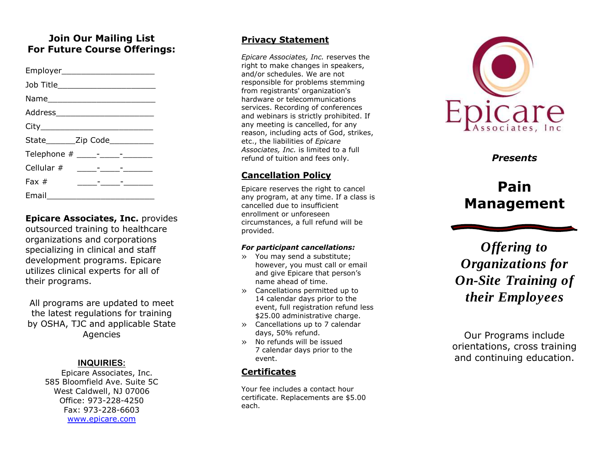### **Join Our Mailing List For Future Course Offerings:**

| Job Title_________________________ |                                                            |  |
|------------------------------------|------------------------------------------------------------|--|
|                                    |                                                            |  |
| Address___________________________ |                                                            |  |
|                                    |                                                            |  |
| State________Zip Code___________   |                                                            |  |
| Telephone # _____-_____-______     |                                                            |  |
| Cellular # _____-___-____-_______  |                                                            |  |
| Fax $#$                            | <u> 1989 - Andrea Station Barbara, amerikan personal (</u> |  |
| Email $\_\_$                       |                                                            |  |

**Epicare Associates, Inc.** provides outsourced training to healthcare organizations and corporations specializing in clinical and staff development programs. Epicare utilizes clinical experts for all of their programs.

All programs are updated to meet the latest regulations for training by OSHA, TJC and applicable State Agencies

#### **INQUIRIES :**

Epicare Associates, Inc. 585 Bloomfield Ave. Suite 5C West Caldwell, NJ 07006 Office: 973 -228 -4250 Fax: 973 -228 -6603 [www.epicare.com](http://www.epicare.com/)

#### **Privacy Statement**

*Epicare Associates, Inc.* reserves the right to make changes in speakers, and/or schedules. We are not responsible for problems stemming from registrants' organization's hardware or telecommunications services. Recording of conferences and webinars is strictly prohibited. If any meeting is cancelled, for any reason, including acts of God, strikes, etc., the liabilities of *Epicare Associates, Inc.* is limited to a full refund of tuition and fees only.

#### **Cancellation Policy**

Epicare reserves the right to cancel any program, at any time. If a class is cancelled due to insufficient enrollment or unforeseen circumstances, a full refund will be provided.

#### *For participant cancellations:*

- » You may send a substitute; however, you must call or email and give Epicare that person's name ahead of time.
- » Cancellations permitted up to 14 calendar days prior to the event, full registration refund less \$25.00 administrative charge.
- » Cancellations up to 7 calendar days, 50% refund.
- » No refunds will be issued 7 calendar days prior to the event.

#### **Certificates**

Your fee includes a contact hour certificate. Replacements are \$5.00 each.



*Presents*

# **Pain Management**

*Offering to Organizations for On -Site Training of their Employees*

Our Programs include orientation s, cross training and continuing education.